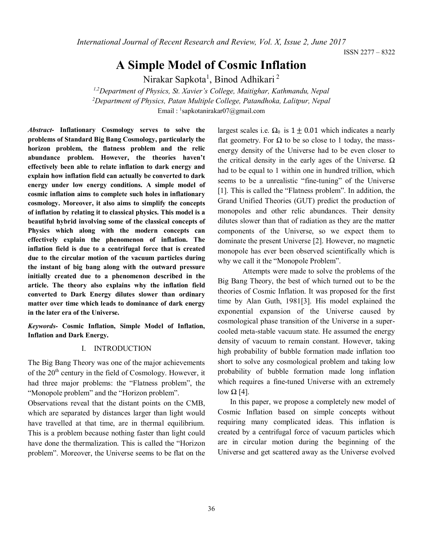*International Journal of Recent Research and Review, Vol. X, Issue 2, June 2017*

ISSN 2277 – 8322

# **A Simple Model of Cosmic Inflation**

Nirakar Sapkota<sup>1</sup>, Binod Adhikari<sup>2</sup>

*1,2Department of Physics, St. Xavier's College, Maitighar, Kathmandu, Nepal <sup>2</sup>Department of Physics, Patan Multiple College, Patandhoka, Lalitpur, Nepal* Email: <sup>1</sup>[sapkotanirakar07@gmail.com](mailto:1sapkotanirakar07@gmail.com)

*Abstract***- Inflationary Cosmology serves to solve the problems of Standard Big Bang Cosmology, particularly the horizon problem, the flatness problem and the relic abundance problem. However, the theories haven't effectively been able to relate inflation to dark energy and explain how inflation field can actually be converted to dark energy under low energy conditions. A simple model of cosmic inflation aims to complete such holes in inflationary cosmology. Moreover, it also aims to simplify the concepts of inflation by relating it to classical physics. This model is a beautiful hybrid involving some of the classical concepts of Physics which along with the modern concepts can effectively explain the phenomenon of inflation. The inflation field is due to a centrifugal force that is created due to the circular motion of the vacuum particles during the instant of big bang along with the outward pressure initially created due to a phenomenon described in the article. The theory also explains why the inflation field converted to Dark Energy dilutes slower than ordinary matter over time which leads to dominance of dark energy in the later era of the Universe.**

*Keywords-* **Cosmic Inflation, Simple Model of Inflation, Inflation and Dark Energy.**

#### I. INTRODUCTION

The Big Bang Theory was one of the major achievements of the 20<sup>th</sup> century in the field of Cosmology. However, it had three major problems: the "Flatness problem", the "Monopole problem" and the "Horizon problem".

Observations reveal that the distant points on the CMB, which are separated by distances larger than light would have travelled at that time, are in thermal equilibrium. This is a problem because nothing faster than light could have done the thermalization. This is called the "Horizon problem". Moreover, the Universe seems to be flat on the largest scales i.e.  $\Omega_0$  is  $1 \pm 0.01$  which indicates a nearly flat geometry. For Ω to be so close to 1 today, the massenergy density of the Universe had to be even closer to the critical density in the early ages of the Universe.  $Ω$ had to be equal to 1 within one in hundred trillion, which seems to be a unrealistic "fine-tuning" of the Universe [1]. This is called the "Flatness problem". In addition, the Grand Unified Theories (GUT) predict the production of monopoles and other relic abundances. Their density dilutes slower than that of radiation as they are the matter components of the Universe, so we expect them to dominate the present Universe [2]. However, no magnetic monopole has ever been observed scientifically which is why we call it the "Monopole Problem".

Attempts were made to solve the problems of the Big Bang Theory, the best of which turned out to be the theories of Cosmic Inflation. It was proposed for the first time by Alan Guth, 1981[3]. His model explained the exponential expansion of the Universe caused by cosmological phase transition of the Universe in a supercooled meta-stable vacuum state. He assumed the energy density of vacuum to remain constant. However, taking high probability of bubble formation made inflation too short to solve any cosmological problem and taking low probability of bubble formation made long inflation which requires a fine-tuned Universe with an extremely low  $\Omega$  [4].

In this paper, we propose a completely new model of Cosmic Inflation based on simple concepts without requiring many complicated ideas. This inflation is created by a centrifugal force of vacuum particles which are in circular motion during the beginning of the Universe and get scattered away as the Universe evolved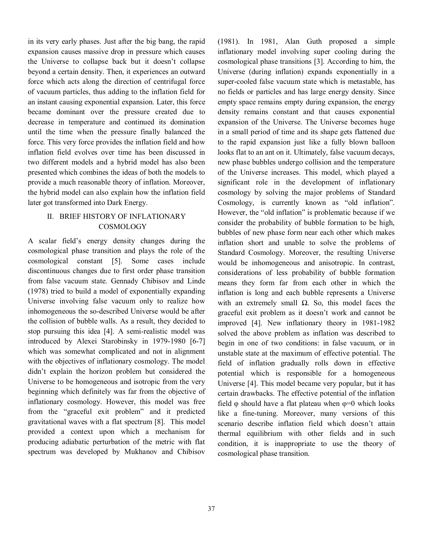in its very early phases. Just after the big bang, the rapid expansion causes massive drop in pressure which causes the Universe to collapse back but it doesn't collapse beyond a certain density. Then, it experiences an outward force which acts along the direction of centrifugal force of vacuum particles, thus adding to the inflation field for an instant causing exponential expansion. Later, this force became dominant over the pressure created due to decrease in temperature and continued its domination until the time when the pressure finally balanced the force. This very force provides the inflation field and how inflation field evolves over time has been discussed in two different models and a hybrid model has also been presented which combines the ideas of both the models to provide a much reasonable theory of inflation. Moreover, the hybrid model can also explain how the inflation field later got transformed into Dark Energy.

# II. BRIEF HISTORY OF INFLATIONARY COSMOLOGY

A scalar field's energy density changes during the cosmological phase transition and plays the role of the cosmological constant [5]. Some cases include discontinuous changes due to first order phase transition from false vacuum state. Gennady Chibisov and Linde (1978) tried to build a model of exponentially expanding Universe involving false vacuum only to realize how inhomogeneous the so-described Universe would be after the collision of bubble walls. As a result, they decided to stop pursuing this idea [4]. A semi-realistic model was introduced by Alexei Starobinsky in 1979-1980 [6-7] which was somewhat complicated and not in alignment with the objectives of inflationary cosmology. The model didn't explain the horizon problem but considered the Universe to be homogeneous and isotropic from the very beginning which definitely was far from the objective of inflationary cosmology. However, this model was free from the "graceful exit problem" and it predicted gravitational waves with a flat spectrum [8]. This model provided a context upon which a mechanism for producing adiabatic perturbation of the metric with flat spectrum was developed by Mukhanov and Chibisov

(1981). In 1981, Alan Guth proposed a simple inflationary model involving super cooling during the cosmological phase transitions [3]. According to him, the Universe (during inflation) expands exponentially in a super-cooled false vacuum state which is metastable, has no fields or particles and has large energy density. Since empty space remains empty during expansion, the energy density remains constant and that causes exponential expansion of the Universe. The Universe becomes huge in a small period of time and its shape gets flattened due to the rapid expansion just like a fully blown balloon looks flat to an ant on it. Ultimately, false vacuum decays, new phase bubbles undergo collision and the temperature of the Universe increases. This model, which played a significant role in the development of inflationary cosmology by solving the major problems of Standard Cosmology, is currently known as "old inflation". However, the "old inflation" is problematic because if we consider the probability of bubble formation to be high, bubbles of new phase form near each other which makes inflation short and unable to solve the problems of Standard Cosmology. Moreover, the resulting Universe would be inhomogeneous and anisotropic. In contrast, considerations of less probability of bubble formation means they form far from each other in which the inflation is long and each bubble represents a Universe with an extremely small  $Ω$ . So, this model faces the graceful exit problem as it doesn't work and cannot be improved [4]. New inflationary theory in 1981-1982 solved the above problem as inflation was described to begin in one of two conditions: in false vacuum, or in unstable state at the maximum of effective potential. The field of inflation gradually rolls down in effective potential which is responsible for a homogeneous Universe [4]. This model became very popular, but it has certain drawbacks. The effective potential of the inflation field  $\varphi$  should have a flat plateau when  $\varphi = 0$  which looks like a fine-tuning. Moreover, many versions of this scenario describe inflation field which doesn't attain thermal equilibrium with other fields and in such condition, it is inappropriate to use the theory of cosmological phase transition.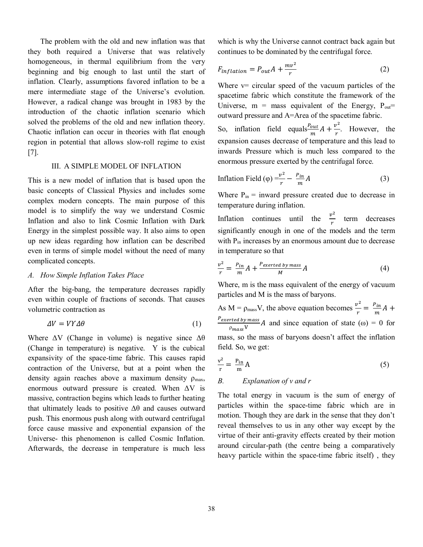The problem with the old and new inflation was that they both required a Universe that was relatively homogeneous, in thermal equilibrium from the very beginning and big enough to last until the start of inflation. Clearly, assumptions favored inflation to be a mere intermediate stage of the Universe's evolution. However, a radical change was brought in 1983 by the introduction of the chaotic inflation scenario which solved the problems of the old and new inflation theory. Chaotic inflation can occur in theories with flat enough region in potential that allows slow-roll regime to exist [7].

#### III. A SIMPLE MODEL OF INFLATION

This is a new model of inflation that is based upon the basic concepts of Classical Physics and includes some complex modern concepts. The main purpose of this model is to simplify the way we understand Cosmic Inflation and also to link Cosmic Inflation with Dark Energy in the simplest possible way. It also aims to open up new ideas regarding how inflation can be described even in terms of simple model without the need of many complicated concepts.

#### *A. How Simple Inflation Takes Place*

After the big-bang, the temperature decreases rapidly even within couple of fractions of seconds. That causes volumetric contraction as

$$
\Delta V = VY\Delta\theta \tag{1}
$$

Where  $\Delta V$  (Change in volume) is negative since  $\Delta \theta$ (Change in temperature) is negative. Υ is the cubical expansivity of the space-time fabric. This causes rapid contraction of the Universe, but at a point when the density again reaches above a maximum density  $\rho_{\text{max}}$ , enormous outward pressure is created. When  $\Delta V$  is massive, contraction begins which leads to further heating that ultimately leads to positive  $\Delta\theta$  and causes outward push. This enormous push along with outward centrifugal force cause massive and exponential expansion of the Universe- this phenomenon is called Cosmic Inflation. Afterwards, the decrease in temperature is much less

which is why the Universe cannot contract back again but continues to be dominated by the centrifugal force.

$$
F_{inflation} = P_{out}A + \frac{mv^2}{r}
$$
 (2)

Where  $v=$  circular speed of the vacuum particles of the spacetime fabric which constitute the framework of the Universe,  $m =$  mass equivalent of the Energy,  $P_{out} =$ outward pressure and A=Area of the spacetime fabric.

So, inflation field equals  $\frac{P_{out}}{m}A + \frac{v^2}{r}$  $\frac{v}{r}$ . However, the expansion causes decrease of temperature and this lead to inwards Pressure which is much less compared to the enormous pressure exerted by the centrifugal force.

Inflation Field 
$$
(\varphi) = \frac{v^2}{r} - \frac{P_{in}}{m} A
$$
 (3)

Where  $P_{in}$  = inward pressure created due to decrease in temperature during inflation.

Inflation continues until the  $\frac{v^2}{r}$  $\frac{v}{r}$  term decreases significantly enough in one of the models and the term with  $P_{in}$  increases by an enormous amount due to decrease in temperature so that

$$
\frac{v^2}{r} = \frac{P_{in}}{m}A + \frac{P_{exerted\ by\ mass}}{M}A\tag{4}
$$

Where, m is the mass equivalent of the energy of vacuum particles and M is the mass of baryons.

As M =  $\rho_{\text{mass}} V$ , the above equation becomes  $\frac{v^2}{r}$  $\frac{r^2}{r} = \frac{P_{in}}{m}$  $\frac{ln}{m}A +$ P<sub>exerted by mass</sub>  $\frac{Area\ by\ mass}{P_{mass}V}$  and since equation of state ( $\omega$ ) = 0 for mass, so the mass of baryons doesn't affect the inflation field. So, we get:

$$
\frac{v^2}{r} = \frac{P_{in}}{m} A
$$
 (5)

*B. Explanation of v and r*

The total energy in vacuum is the sum of energy of particles within the space-time fabric which are in motion. Though they are dark in the sense that they don't reveal themselves to us in any other way except by the virtue of their anti-gravity effects created by their motion around circular-path (the centre being a comparatively heavy particle within the space-time fabric itself) , they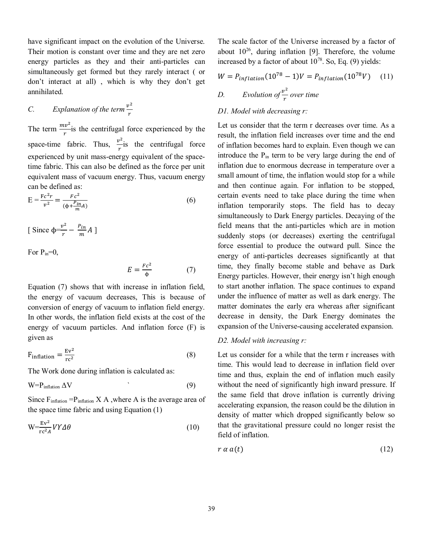have significant impact on the evolution of the Universe. Their motion is constant over time and they are net zero energy particles as they and their anti-particles can simultaneously get formed but they rarely interact ( or don't interact at all) , which is why they don't get annihilated.

#### *C. Explanation of the term*  $\frac{v^2}{v^2}$ r

The term  $\frac{mv^2}{r}$  is the centrifugal force experienced by the space-time fabric. Thus,  $\frac{v^2}{v^2}$  $\frac{1}{r}$  is the centrifugal force experienced by unit mass-energy equivalent of the spacetime fabric. This can also be defined as the force per unit equivalent mass of vacuum energy. Thus, vacuum energy can be defined as:

$$
E = \frac{Fc^2r}{v^2} = \frac{Fc^2}{(\phi + \frac{P_{in}}{m}A)}
$$
(6)

[ Since  $\phi = \frac{v^2}{r^2}$  $\frac{r^2}{r} - \frac{P_{in}}{m}$  $\frac{m}{m}A$ ]

For  $P_{in}=0$ ,

$$
E = \frac{Fc^2}{\phi} \tag{7}
$$

Equation (7) shows that with increase in inflation field, the energy of vacuum decreases, This is because of conversion of energy of vacuum to inflation field energy. In other words, the inflation field exists at the cost of the energy of vacuum particles. And inflation force (F) is given as

$$
F_{inflation} = \frac{Ev^2}{rc^2}
$$
 (8)

The Work done during inflation is calculated as:

$$
W = P_{\text{inflation}} \Delta V \tag{9}
$$

Since  $F_{inflation} = P_{inflation} X A$ , where A is the average area of the space time fabric and using Equation (1)

$$
W = \frac{Ev^2}{rc^2 A} VY \Delta \theta \tag{10}
$$

The scale factor of the Universe increased by a factor of about  $10^{26}$ , during inflation [9]. Therefore, the volume increased by a factor of about  $10^{78}$ . So, Eq. (9) yields:

$$
W = P_{inflation}(10^{78} - 1)V = P_{inflation}(10^{78}V)
$$
 (11)  
D. Evolution of  $\frac{v^2}{r}$  over time

## *D1. Model with decreasing r:*

Let us consider that the term r decreases over time. As a result, the inflation field increases over time and the end of inflation becomes hard to explain. Even though we can introduce the  $P_{in}$  term to be very large during the end of inflation due to enormous decrease in temperature over a small amount of time, the inflation would stop for a while and then continue again. For inflation to be stopped, certain events need to take place during the time when inflation temporarily stops. The field has to decay simultaneously to Dark Energy particles. Decaying of the field means that the anti-particles which are in motion suddenly stops (or decreases) exerting the centrifugal force essential to produce the outward pull. Since the energy of anti-particles decreases significantly at that time, they finally become stable and behave as Dark Energy particles. However, their energy isn't high enough to start another inflation. The space continues to expand under the influence of matter as well as dark energy. The matter dominates the early era whereas after significant decrease in density, the Dark Energy dominates the expansion of the Universe-causing accelerated expansion.

## *D2. Model with increasing r:*

Let us consider for a while that the term r increases with time. This would lead to decrease in inflation field over time and thus, explain the end of inflation much easily without the need of significantly high inward pressure. If the same field that drove inflation is currently driving accelerating expansion, the reason could be the dilution in density of matter which dropped significantly below so that the gravitational pressure could no longer resist the field of inflation.

$$
r \alpha a(t) \tag{12}
$$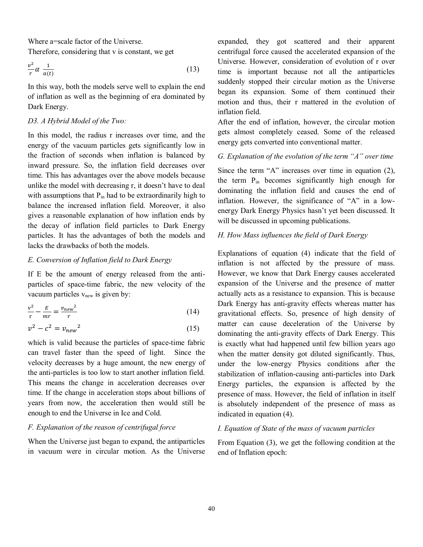Where a=scale factor of the Universe.

Therefore, considering that v is constant, we get

$$
\frac{v^2}{r} \alpha \frac{1}{a(t)} \tag{13}
$$

In this way, both the models serve well to explain the end of inflation as well as the beginning of era dominated by Dark Energy.

### *D3. A Hybrid Model of the Two:*

In this model, the radius r increases over time, and the energy of the vacuum particles gets significantly low in the fraction of seconds when inflation is balanced by inward pressure. So, the inflation field decreases over time. This has advantages over the above models because unlike the model with decreasing r, it doesn't have to deal with assumptions that  $P_{in}$  had to be extraordinarily high to balance the increased inflation field. Moreover, it also gives a reasonable explanation of how inflation ends by the decay of inflation field particles to Dark Energy particles. It has the advantages of both the models and lacks the drawbacks of both the models.

## *E. Conversion of Inflation field to Dark Energy*

If E be the amount of energy released from the antiparticles of space-time fabric, the new velocity of the vacuum particles  $v_{\text{new}}$  is given by:

$$
\frac{v^2}{r} - \frac{E}{mr} = \frac{v_{new}^2}{r}
$$
 (14)

$$
v^2 - c^2 = v_{new}^2 \tag{15}
$$

which is valid because the particles of space-time fabric can travel faster than the speed of light. Since the velocity decreases by a huge amount, the new energy of the anti-particles is too low to start another inflation field. This means the change in acceleration decreases over time. If the change in acceleration stops about billions of years from now, the acceleration then would still be enough to end the Universe in Ice and Cold.

# *F. Explanation of the reason of centrifugal force*

When the Universe just began to expand, the antiparticles in vacuum were in circular motion. As the Universe expanded, they got scattered and their apparent centrifugal force caused the accelerated expansion of the Universe. However, consideration of evolution of r over time is important because not all the antiparticles suddenly stopped their circular motion as the Universe began its expansion. Some of them continued their motion and thus, their r mattered in the evolution of inflation field.

After the end of inflation, however, the circular motion gets almost completely ceased. Some of the released energy gets converted into conventional matter.

## *G. Explanation of the evolution of the term "A" over time*

Since the term "A" increases over time in equation (2), the term Pin becomes significantly high enough for dominating the inflation field and causes the end of inflation. However, the significance of "A" in a lowenergy Dark Energy Physics hasn't yet been discussed. It will be discussed in upcoming publications.

## *H. How Mass influences the field of Dark Energy*

Explanations of equation (4) indicate that the field of inflation is not affected by the pressure of mass. However, we know that Dark Energy causes accelerated expansion of the Universe and the presence of matter actually acts as a resistance to expansion. This is because Dark Energy has anti-gravity effects whereas matter has gravitational effects. So, presence of high density of matter can cause deceleration of the Universe by dominating the anti-gravity effects of Dark Energy. This is exactly what had happened until few billion years ago when the matter density got diluted significantly. Thus, under the low-energy Physics conditions after the stabilization of inflation-causing anti-particles into Dark Energy particles, the expansion is affected by the presence of mass. However, the field of inflation in itself is absolutely independent of the presence of mass as indicated in equation (4).

# *I. Equation of State of the mass of vacuum particles*

From Equation (3), we get the following condition at the end of Inflation epoch: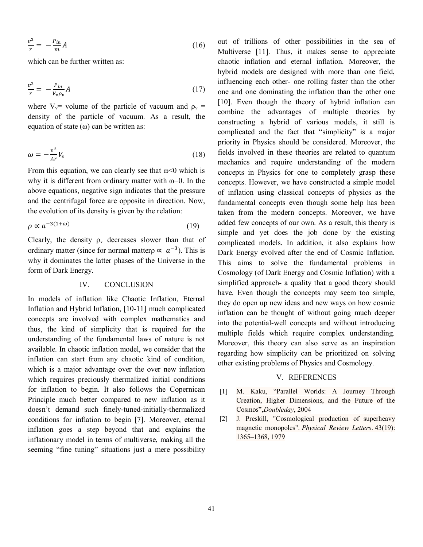$$
\frac{v^2}{r} = -\frac{P_{in}}{m}A\tag{16}
$$

which can be further written as:

$$
\frac{v^2}{r} = -\frac{P_{in}}{V_v \rho_v} A \tag{17}
$$

where  $V_v$ = volume of the particle of vacuum and  $\rho_v$  = density of the particle of vacuum. As a result, the equation of state  $(\omega)$  can be written as:

$$
\omega = -\frac{v^2}{Ar} V_v \tag{18}
$$

From this equation, we can clearly see that  $\omega$ <0 which is why it is different from ordinary matter with  $\omega=0$ . In the above equations, negative sign indicates that the pressure and the centrifugal force are opposite in direction. Now, the evolution of its density is given by the relation:

$$
\rho \propto a^{-3(1+\omega)} \tag{19}
$$

Clearly, the density  $\rho_v$  decreases slower than that of ordinary matter (since for normal matterp  $\propto a^{-3}$ ). This is why it dominates the latter phases of the Universe in the form of Dark Energy.

#### IV. CONCLUSION

In models of inflation like Chaotic Inflation, Eternal Inflation and Hybrid Inflation, [10-11] much complicated concepts are involved with complex mathematics and thus, the kind of simplicity that is required for the understanding of the fundamental laws of nature is not available. In chaotic inflation model, we consider that the inflation can start from any chaotic kind of condition, which is a major advantage over the over new inflation which requires preciously thermalized initial conditions for inflation to begin. It also follows the Copernican Principle much better compared to new inflation as it doesn't demand such finely-tuned-initially-thermalized conditions for inflation to begin [7]. Moreover, eternal inflation goes a step beyond that and explains the inflationary model in terms of multiverse, making all the seeming "fine tuning" situations just a mere possibility

out of trillions of other possibilities in the sea of Multiverse [11]. Thus, it makes sense to appreciate chaotic inflation and eternal inflation. Moreover, the hybrid models are designed with more than one field, influencing each other- one rolling faster than the other one and one dominating the inflation than the other one [10]. Even though the theory of hybrid inflation can combine the advantages of multiple theories by constructing a hybrid of various models, it still is complicated and the fact that "simplicity" is a major priority in Physics should be considered. Moreover, the fields involved in these theories are related to quantum mechanics and require understanding of the modern concepts in Physics for one to completely grasp these concepts. However, we have constructed a simple model of inflation using classical concepts of physics as the fundamental concepts even though some help has been taken from the modern concepts. Moreover, we have added few concepts of our own. As a result, this theory is simple and yet does the job done by the existing complicated models. In addition, it also explains how Dark Energy evolved after the end of Cosmic Inflation. This aims to solve the fundamental problems in Cosmology (of Dark Energy and Cosmic Inflation) with a simplified approach- a quality that a good theory should have. Even though the concepts may seem too simple, they do open up new ideas and new ways on how cosmic inflation can be thought of without going much deeper into the potential-well concepts and without introducing multiple fields which require complex understanding. Moreover, this theory can also serve as an inspiration regarding how simplicity can be prioritized on solving other existing problems of Physics and Cosmology.

#### V. REFERENCES

- [1] M. Kaku, "Parallel Worlds: A Journey Through Creation, Higher Dimensions, and the Future of the Cosmos",*Doubleday*, 2004
- [2] J. Preskill, "Cosmological production of superheavy magnetic monopoles". *Physical Review Letters*. 43(19): 1365–1368, 1979